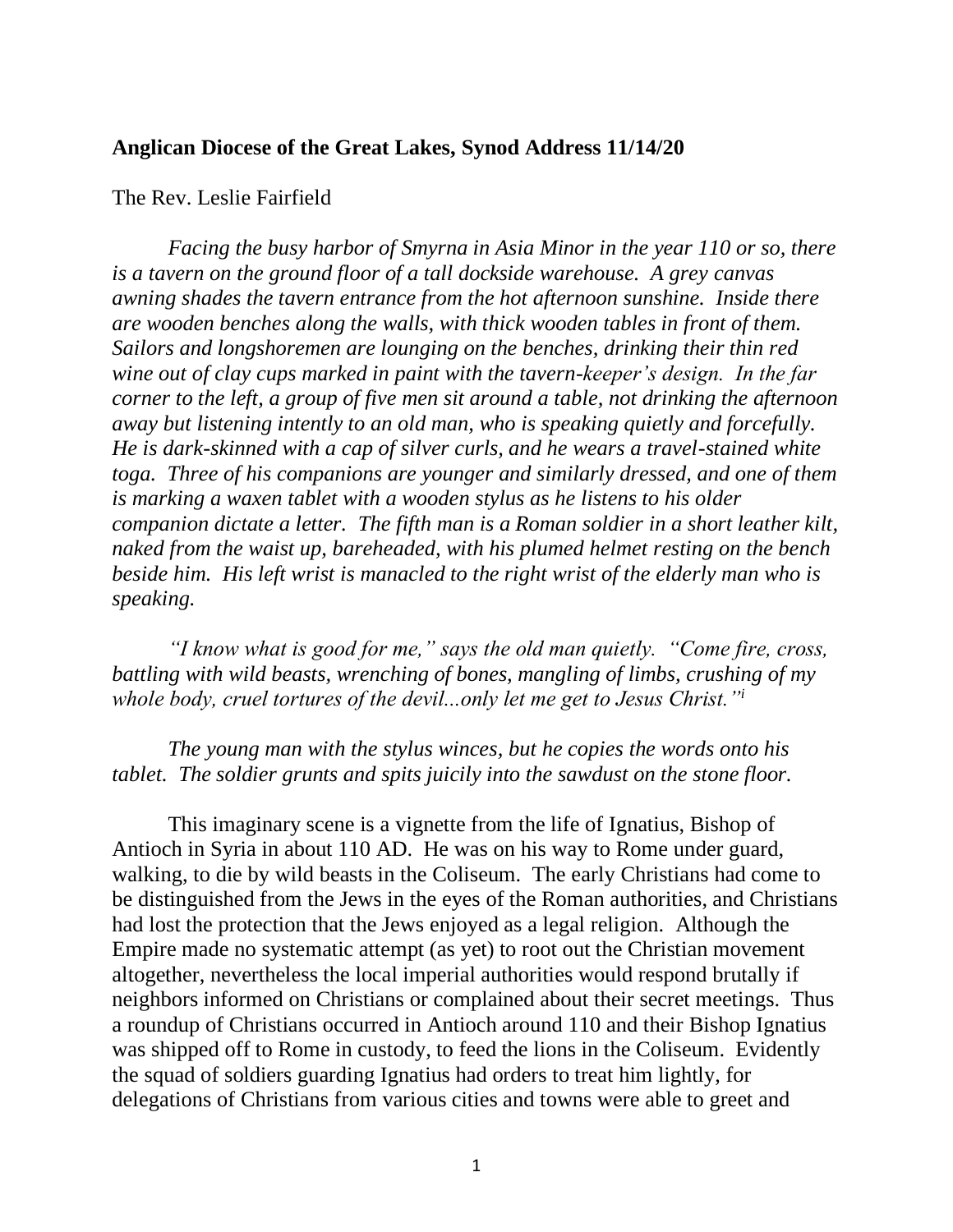## **Anglican Diocese of the Great Lakes, Synod Address 11/14/20**

## The Rev. Leslie Fairfield

*Facing the busy harbor of Smyrna in Asia Minor in the year 110 or so, there is a tavern on the ground floor of a tall dockside warehouse. A grey canvas awning shades the tavern entrance from the hot afternoon sunshine. Inside there are wooden benches along the walls, with thick wooden tables in front of them. Sailors and longshoremen are lounging on the benches, drinking their thin red wine out of clay cups marked in paint with the tavern-keeper's design. In the far corner to the left, a group of five men sit around a table, not drinking the afternoon away but listening intently to an old man, who is speaking quietly and forcefully. He is dark-skinned with a cap of silver curls, and he wears a travel-stained white toga. Three of his companions are younger and similarly dressed, and one of them is marking a waxen tablet with a wooden stylus as he listens to his older companion dictate a letter. The fifth man is a Roman soldier in a short leather kilt, naked from the waist up, bareheaded, with his plumed helmet resting on the bench beside him. His left wrist is manacled to the right wrist of the elderly man who is speaking.*

*"I know what is good for me," says the old man quietly. "Come fire, cross, battling with wild beasts, wrenching of bones, mangling of limbs, crushing of my whole body, cruel tortures of the devil...only let me get to Jesus Christ."<sup>i</sup>*

*The young man with the stylus winces, but he copies the words onto his tablet. The soldier grunts and spits juicily into the sawdust on the stone floor.*

This imaginary scene is a vignette from the life of Ignatius, Bishop of Antioch in Syria in about 110 AD. He was on his way to Rome under guard, walking, to die by wild beasts in the Coliseum. The early Christians had come to be distinguished from the Jews in the eyes of the Roman authorities, and Christians had lost the protection that the Jews enjoyed as a legal religion. Although the Empire made no systematic attempt (as yet) to root out the Christian movement altogether, nevertheless the local imperial authorities would respond brutally if neighbors informed on Christians or complained about their secret meetings. Thus a roundup of Christians occurred in Antioch around 110 and their Bishop Ignatius was shipped off to Rome in custody, to feed the lions in the Coliseum. Evidently the squad of soldiers guarding Ignatius had orders to treat him lightly, for delegations of Christians from various cities and towns were able to greet and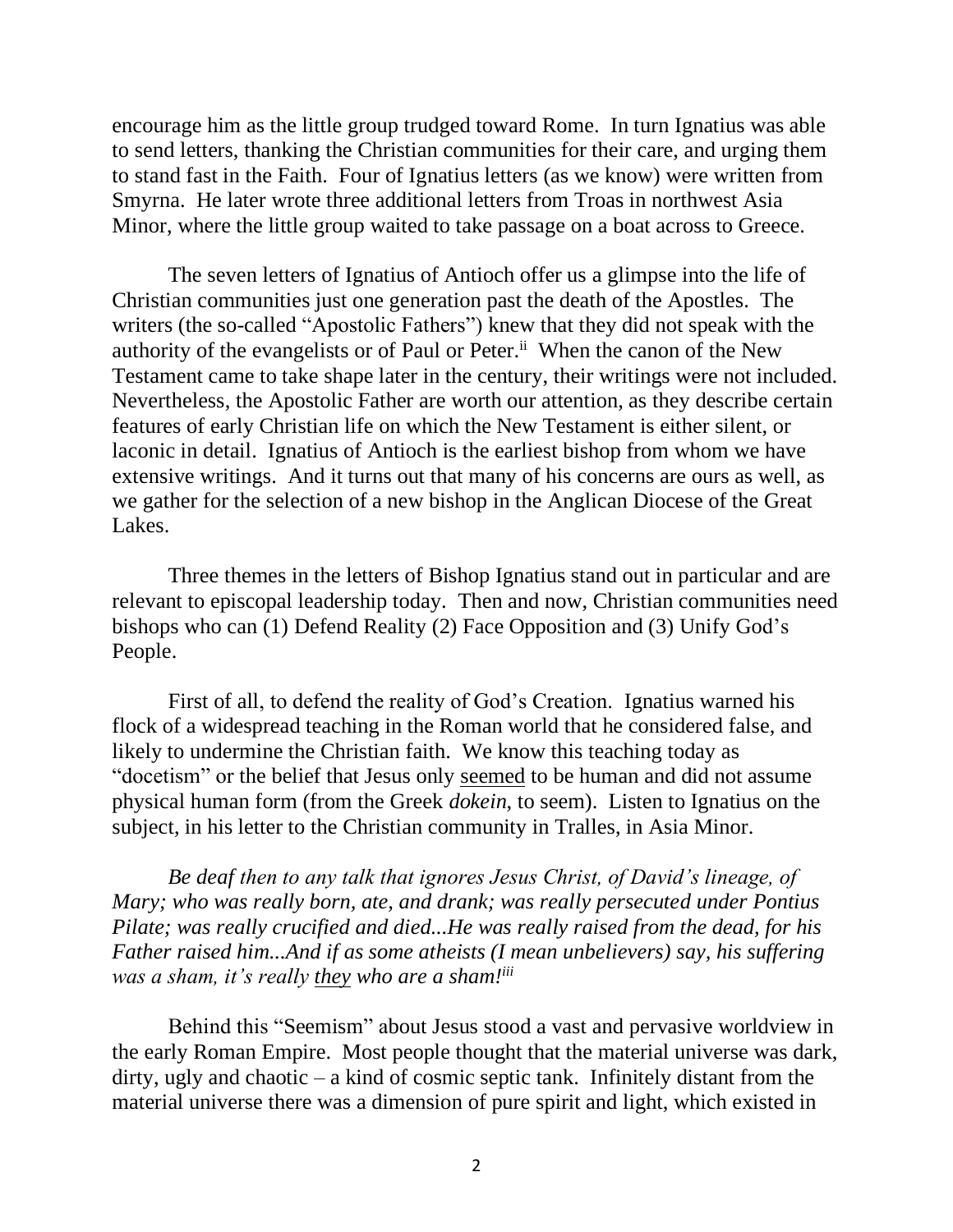encourage him as the little group trudged toward Rome. In turn Ignatius was able to send letters, thanking the Christian communities for their care, and urging them to stand fast in the Faith. Four of Ignatius letters (as we know) were written from Smyrna. He later wrote three additional letters from Troas in northwest Asia Minor, where the little group waited to take passage on a boat across to Greece.

The seven letters of Ignatius of Antioch offer us a glimpse into the life of Christian communities just one generation past the death of the Apostles. The writers (the so-called "Apostolic Fathers") knew that they did not speak with the authority of the evangelists or of Paul or Peter.<sup>ii</sup> When the canon of the New Testament came to take shape later in the century, their writings were not included. Nevertheless, the Apostolic Father are worth our attention, as they describe certain features of early Christian life on which the New Testament is either silent, or laconic in detail. Ignatius of Antioch is the earliest bishop from whom we have extensive writings. And it turns out that many of his concerns are ours as well, as we gather for the selection of a new bishop in the Anglican Diocese of the Great Lakes.

Three themes in the letters of Bishop Ignatius stand out in particular and are relevant to episcopal leadership today. Then and now, Christian communities need bishops who can (1) Defend Reality (2) Face Opposition and (3) Unify God's People.

First of all, to defend the reality of God's Creation. Ignatius warned his flock of a widespread teaching in the Roman world that he considered false, and likely to undermine the Christian faith. We know this teaching today as "docetism" or the belief that Jesus only seemed to be human and did not assume physical human form (from the Greek *dokein*, to seem). Listen to Ignatius on the subject, in his letter to the Christian community in Tralles, in Asia Minor.

*Be deaf then to any talk that ignores Jesus Christ, of David's lineage, of Mary; who was really born, ate, and drank; was really persecuted under Pontius Pilate; was really crucified and died...He was really raised from the dead, for his Father raised him...And if as some atheists (I mean unbelievers) say, his suffering was a sham, it's really they who are a sham!iii*

Behind this "Seemism" about Jesus stood a vast and pervasive worldview in the early Roman Empire. Most people thought that the material universe was dark, dirty, ugly and chaotic – a kind of cosmic septic tank. Infinitely distant from the material universe there was a dimension of pure spirit and light, which existed in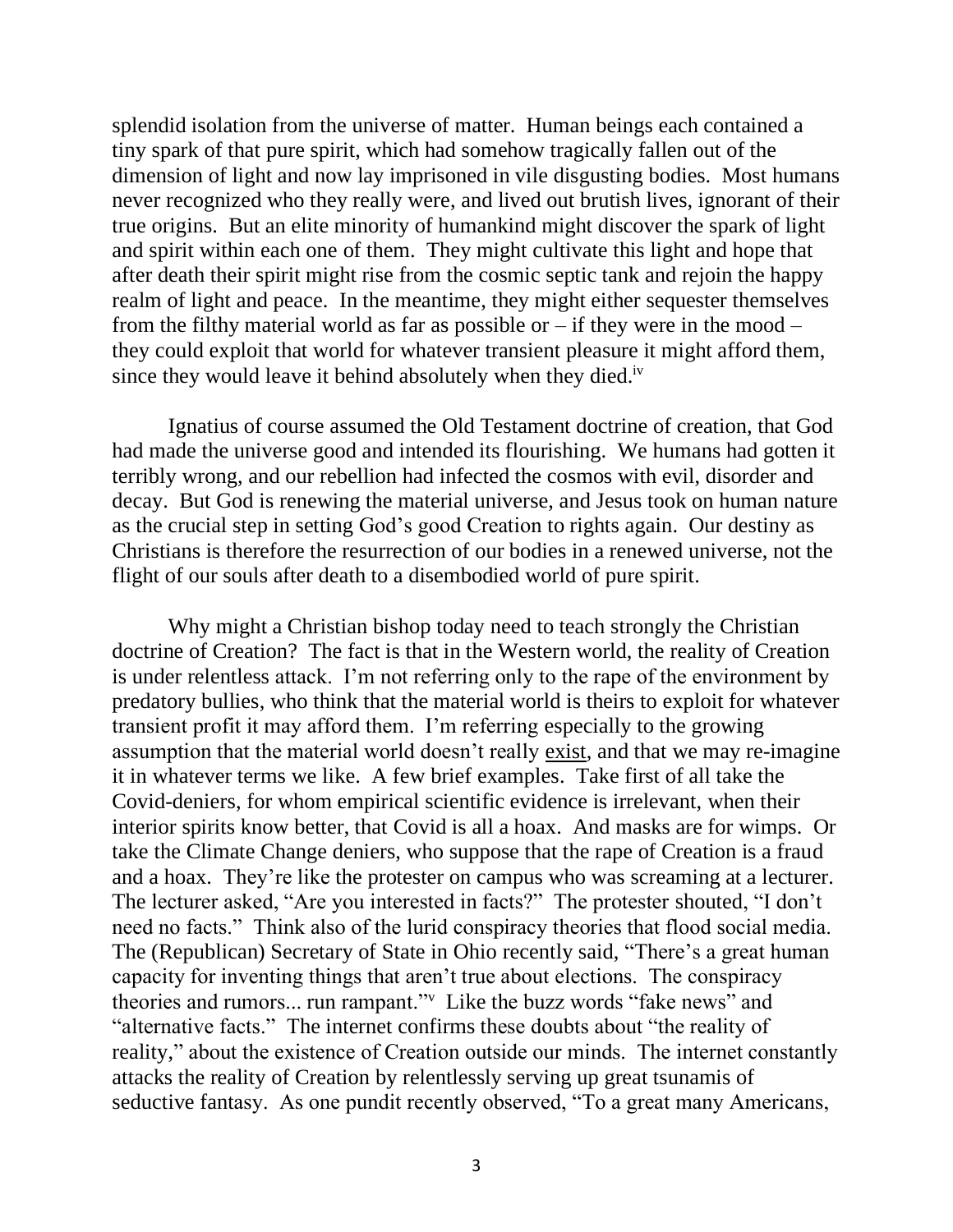splendid isolation from the universe of matter. Human beings each contained a tiny spark of that pure spirit, which had somehow tragically fallen out of the dimension of light and now lay imprisoned in vile disgusting bodies. Most humans never recognized who they really were, and lived out brutish lives, ignorant of their true origins. But an elite minority of humankind might discover the spark of light and spirit within each one of them. They might cultivate this light and hope that after death their spirit might rise from the cosmic septic tank and rejoin the happy realm of light and peace. In the meantime, they might either sequester themselves from the filthy material world as far as possible or  $-$  if they were in the mood  $$ they could exploit that world for whatever transient pleasure it might afford them, since they would leave it behind absolutely when they died.<sup>iv</sup>

Ignatius of course assumed the Old Testament doctrine of creation, that God had made the universe good and intended its flourishing. We humans had gotten it terribly wrong, and our rebellion had infected the cosmos with evil, disorder and decay. But God is renewing the material universe, and Jesus took on human nature as the crucial step in setting God's good Creation to rights again. Our destiny as Christians is therefore the resurrection of our bodies in a renewed universe, not the flight of our souls after death to a disembodied world of pure spirit.

Why might a Christian bishop today need to teach strongly the Christian doctrine of Creation? The fact is that in the Western world, the reality of Creation is under relentless attack. I'm not referring only to the rape of the environment by predatory bullies, who think that the material world is theirs to exploit for whatever transient profit it may afford them. I'm referring especially to the growing assumption that the material world doesn't really exist, and that we may re-imagine it in whatever terms we like. A few brief examples. Take first of all take the Covid-deniers, for whom empirical scientific evidence is irrelevant, when their interior spirits know better, that Covid is all a hoax. And masks are for wimps. Or take the Climate Change deniers, who suppose that the rape of Creation is a fraud and a hoax. They're like the protester on campus who was screaming at a lecturer. The lecturer asked, "Are you interested in facts?" The protester shouted, "I don't need no facts." Think also of the lurid conspiracy theories that flood social media. The (Republican) Secretary of State in Ohio recently said, "There's a great human capacity for inventing things that aren't true about elections. The conspiracy theories and rumors... run rampant."<sup>v</sup> Like the buzz words "fake news" and "alternative facts." The internet confirms these doubts about "the reality of reality," about the existence of Creation outside our minds. The internet constantly attacks the reality of Creation by relentlessly serving up great tsunamis of seductive fantasy. As one pundit recently observed, "To a great many Americans,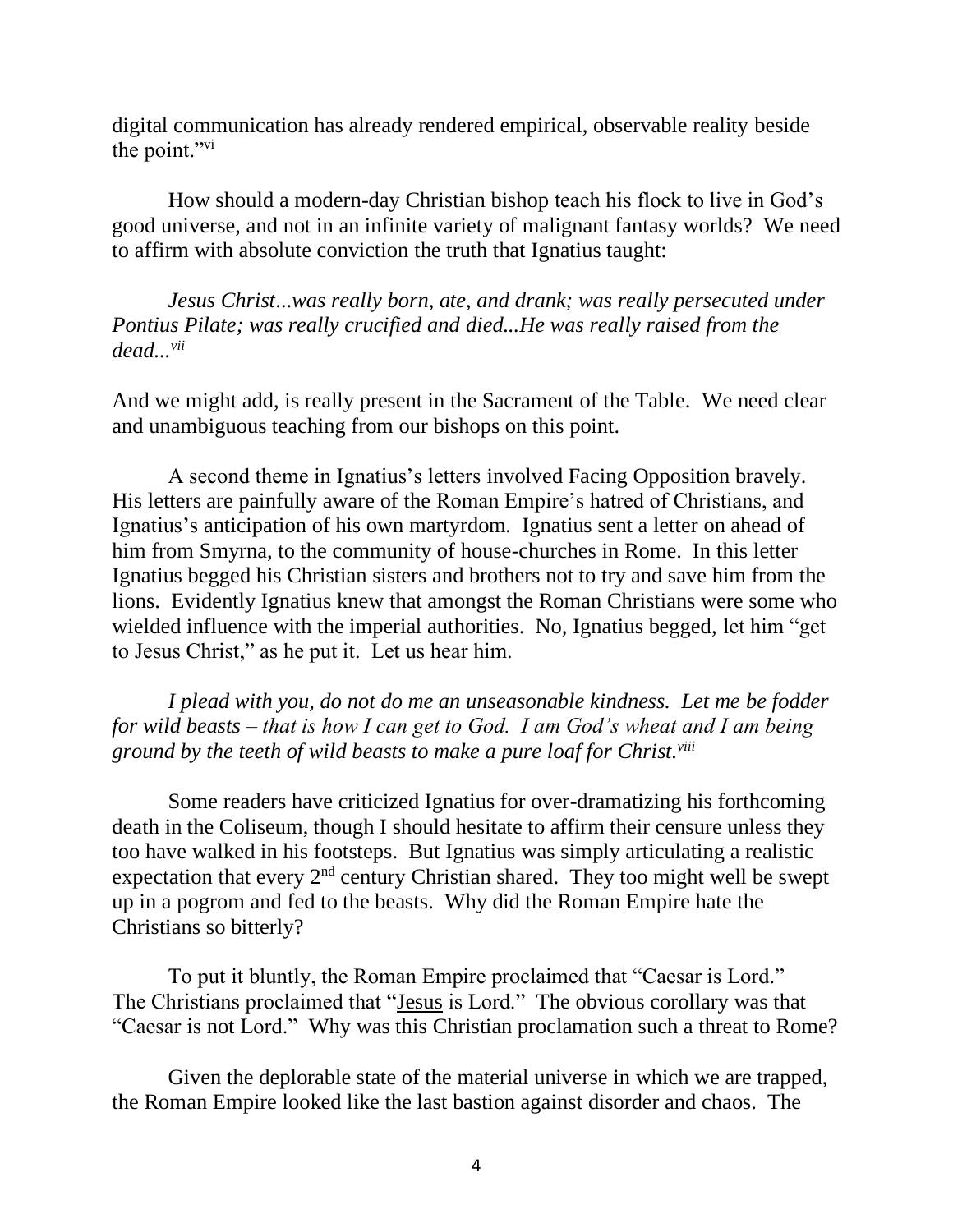digital communication has already rendered empirical, observable reality beside the point."vi

How should a modern-day Christian bishop teach his flock to live in God's good universe, and not in an infinite variety of malignant fantasy worlds? We need to affirm with absolute conviction the truth that Ignatius taught:

*Jesus Christ*...*was really born, ate, and drank; was really persecuted under Pontius Pilate; was really crucified and died...He was really raised from the dead...vii*

And we might add, is really present in the Sacrament of the Table. We need clear and unambiguous teaching from our bishops on this point.

A second theme in Ignatius's letters involved Facing Opposition bravely. His letters are painfully aware of the Roman Empire's hatred of Christians, and Ignatius's anticipation of his own martyrdom. Ignatius sent a letter on ahead of him from Smyrna, to the community of house-churches in Rome. In this letter Ignatius begged his Christian sisters and brothers not to try and save him from the lions. Evidently Ignatius knew that amongst the Roman Christians were some who wielded influence with the imperial authorities. No, Ignatius begged, let him "get" to Jesus Christ," as he put it. Let us hear him.

*I plead with you, do not do me an unseasonable kindness. Let me be fodder for wild beasts – that is how I can get to God. I am God's wheat and I am being ground by the teeth of wild beasts to make a pure loaf for Christ.viii*

Some readers have criticized Ignatius for over-dramatizing his forthcoming death in the Coliseum, though I should hesitate to affirm their censure unless they too have walked in his footsteps. But Ignatius was simply articulating a realistic expectation that every  $2<sup>nd</sup>$  century Christian shared. They too might well be swept up in a pogrom and fed to the beasts. Why did the Roman Empire hate the Christians so bitterly?

To put it bluntly, the Roman Empire proclaimed that "Caesar is Lord." The Christians proclaimed that "Jesus is Lord." The obvious corollary was that "Caesar is not Lord." Why was this Christian proclamation such a threat to Rome?

Given the deplorable state of the material universe in which we are trapped, the Roman Empire looked like the last bastion against disorder and chaos. The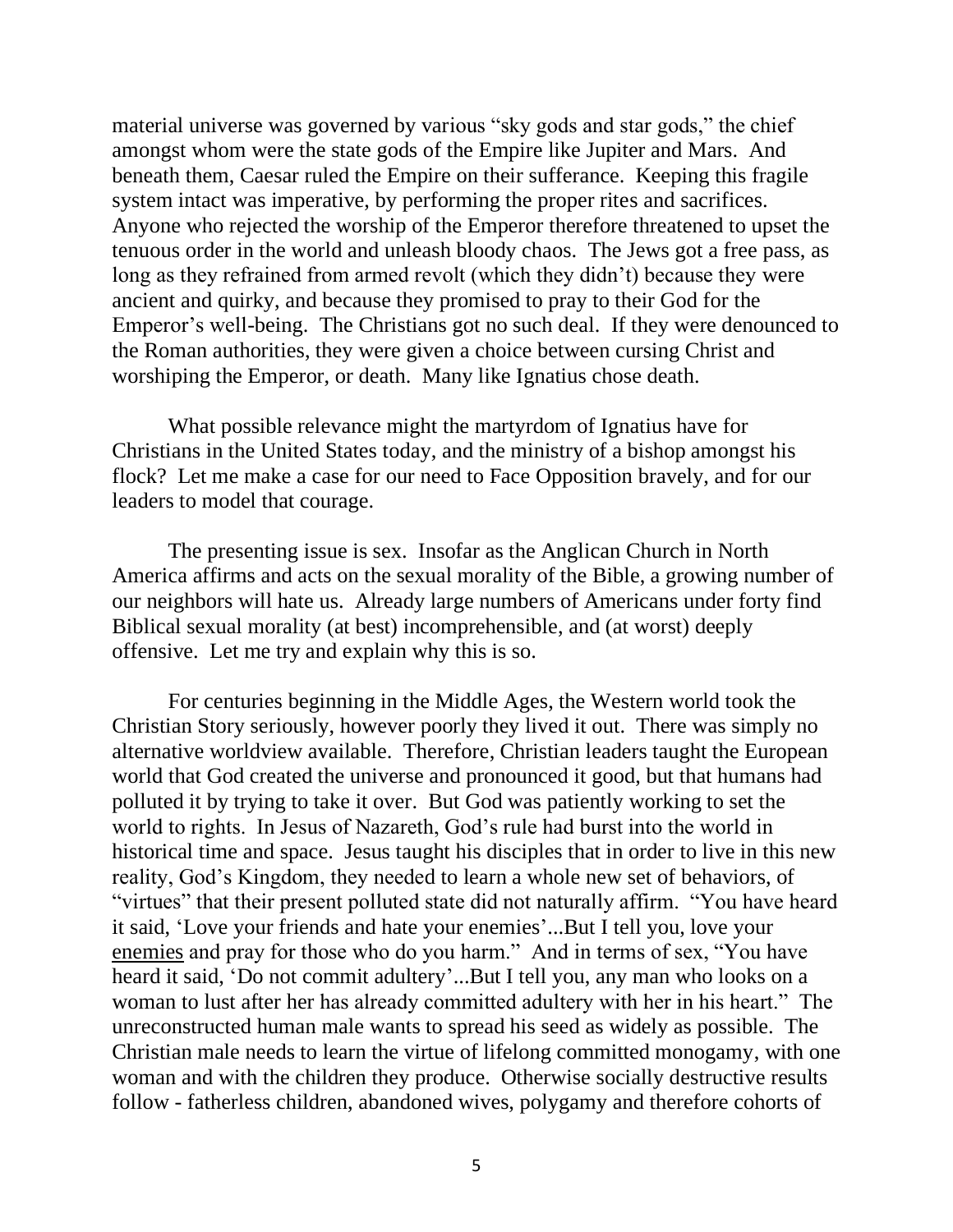material universe was governed by various "sky gods and star gods," the chief amongst whom were the state gods of the Empire like Jupiter and Mars. And beneath them, Caesar ruled the Empire on their sufferance. Keeping this fragile system intact was imperative, by performing the proper rites and sacrifices. Anyone who rejected the worship of the Emperor therefore threatened to upset the tenuous order in the world and unleash bloody chaos. The Jews got a free pass, as long as they refrained from armed revolt (which they didn't) because they were ancient and quirky, and because they promised to pray to their God for the Emperor's well-being. The Christians got no such deal. If they were denounced to the Roman authorities, they were given a choice between cursing Christ and worshiping the Emperor, or death. Many like Ignatius chose death.

What possible relevance might the martyrdom of Ignatius have for Christians in the United States today, and the ministry of a bishop amongst his flock? Let me make a case for our need to Face Opposition bravely, and for our leaders to model that courage.

The presenting issue is sex. Insofar as the Anglican Church in North America affirms and acts on the sexual morality of the Bible, a growing number of our neighbors will hate us. Already large numbers of Americans under forty find Biblical sexual morality (at best) incomprehensible, and (at worst) deeply offensive. Let me try and explain why this is so.

For centuries beginning in the Middle Ages, the Western world took the Christian Story seriously, however poorly they lived it out. There was simply no alternative worldview available. Therefore, Christian leaders taught the European world that God created the universe and pronounced it good, but that humans had polluted it by trying to take it over. But God was patiently working to set the world to rights. In Jesus of Nazareth, God's rule had burst into the world in historical time and space. Jesus taught his disciples that in order to live in this new reality, God's Kingdom, they needed to learn a whole new set of behaviors, of "virtues" that their present polluted state did not naturally affirm. "You have heard it said, 'Love your friends and hate your enemies'...But I tell you, love your enemies and pray for those who do you harm." And in terms of sex, "You have heard it said, 'Do not commit adultery'...But I tell you, any man who looks on a woman to lust after her has already committed adultery with her in his heart." The unreconstructed human male wants to spread his seed as widely as possible. The Christian male needs to learn the virtue of lifelong committed monogamy, with one woman and with the children they produce. Otherwise socially destructive results follow - fatherless children, abandoned wives, polygamy and therefore cohorts of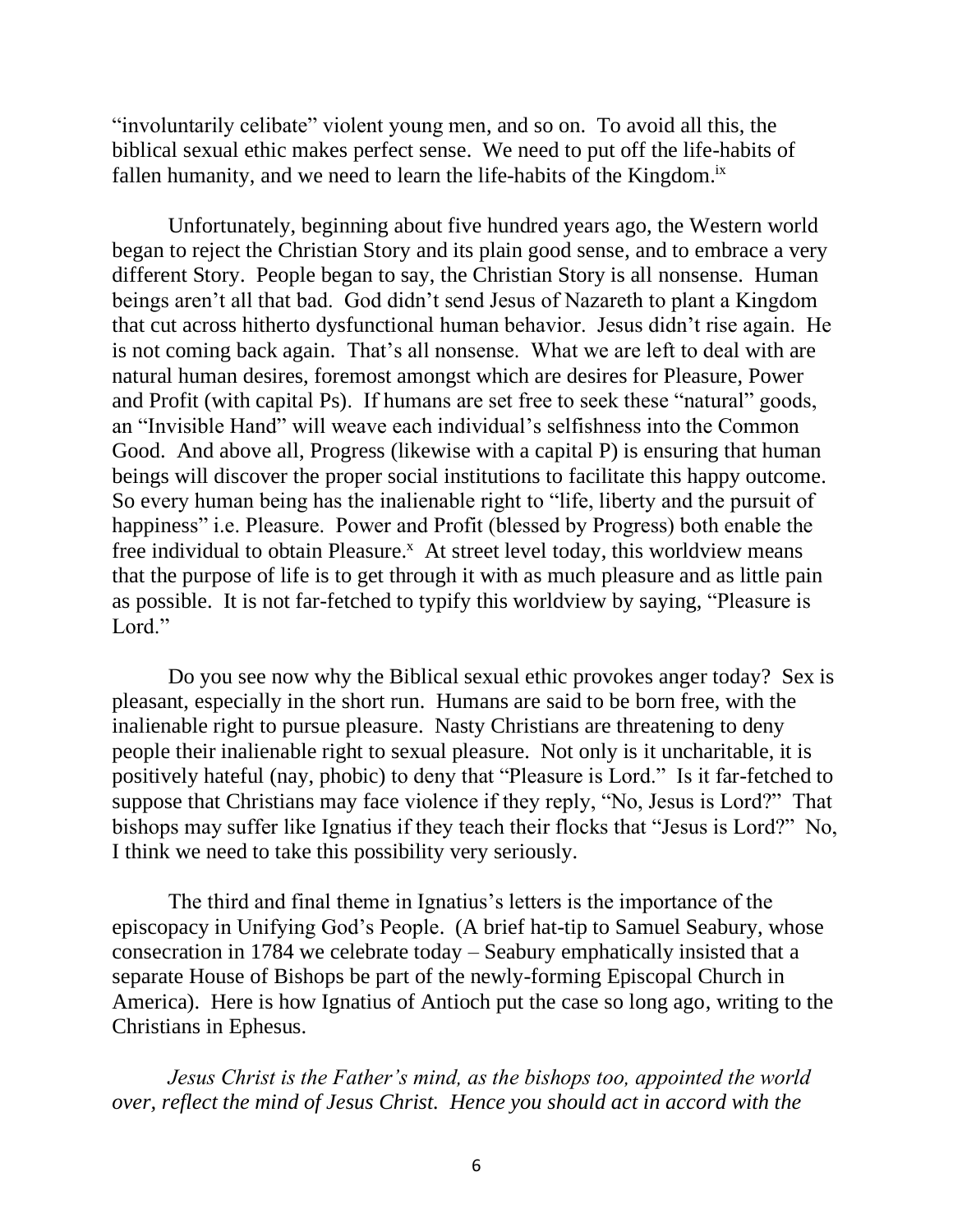"involuntarily celibate" violent young men, and so on. To avoid all this, the biblical sexual ethic makes perfect sense. We need to put off the life-habits of fallen humanity, and we need to learn the life-habits of the Kingdom.<sup>ix</sup>

Unfortunately, beginning about five hundred years ago, the Western world began to reject the Christian Story and its plain good sense, and to embrace a very different Story. People began to say, the Christian Story is all nonsense. Human beings aren't all that bad. God didn't send Jesus of Nazareth to plant a Kingdom that cut across hitherto dysfunctional human behavior. Jesus didn't rise again. He is not coming back again. That's all nonsense. What we are left to deal with are natural human desires, foremost amongst which are desires for Pleasure, Power and Profit (with capital Ps). If humans are set free to seek these "natural" goods, an "Invisible Hand" will weave each individual's selfishness into the Common Good. And above all, Progress (likewise with a capital P) is ensuring that human beings will discover the proper social institutions to facilitate this happy outcome. So every human being has the inalienable right to "life, liberty and the pursuit of happiness" i.e. Pleasure. Power and Profit (blessed by Progress) both enable the free individual to obtain Pleasure.<sup>x</sup> At street level today, this worldview means that the purpose of life is to get through it with as much pleasure and as little pain as possible. It is not far-fetched to typify this worldview by saying, "Pleasure is Lord."

Do you see now why the Biblical sexual ethic provokes anger today? Sex is pleasant, especially in the short run. Humans are said to be born free, with the inalienable right to pursue pleasure. Nasty Christians are threatening to deny people their inalienable right to sexual pleasure. Not only is it uncharitable, it is positively hateful (nay, phobic) to deny that "Pleasure is Lord." Is it far-fetched to suppose that Christians may face violence if they reply, "No, Jesus is Lord?" That bishops may suffer like Ignatius if they teach their flocks that "Jesus is Lord?" No, I think we need to take this possibility very seriously.

The third and final theme in Ignatius's letters is the importance of the episcopacy in Unifying God's People. (A brief hat-tip to Samuel Seabury, whose consecration in 1784 we celebrate today – Seabury emphatically insisted that a separate House of Bishops be part of the newly-forming Episcopal Church in America). Here is how Ignatius of Antioch put the case so long ago, writing to the Christians in Ephesus.

*Jesus Christ is the Father's mind, as the bishops too, appointed the world over, reflect the mind of Jesus Christ. Hence you should act in accord with the*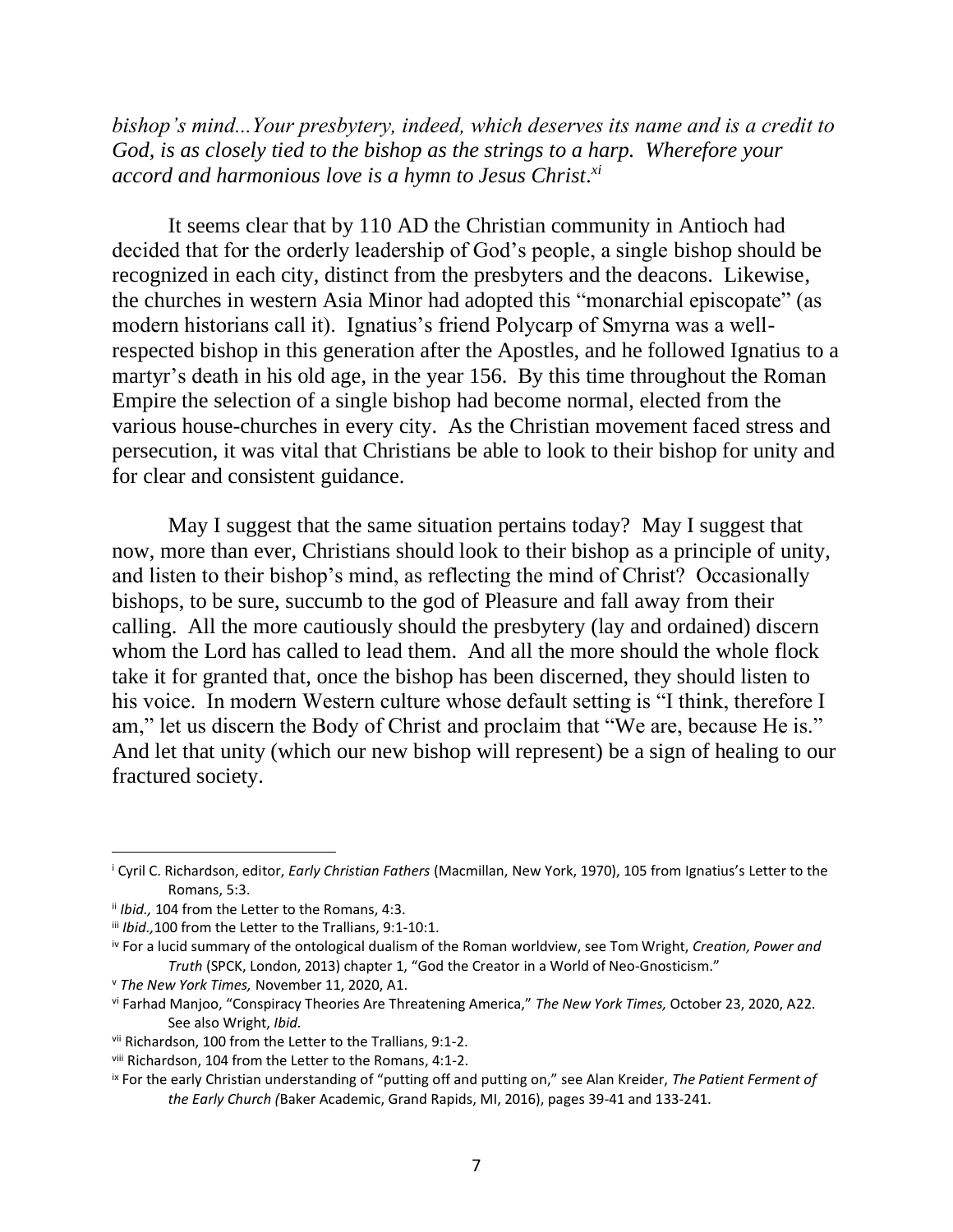*bishop's mind...Your presbytery, indeed, which deserves its name and is a credit to God, is as closely tied to the bishop as the strings to a harp. Wherefore your accord and harmonious love is a hymn to Jesus Christ. xi*

It seems clear that by 110 AD the Christian community in Antioch had decided that for the orderly leadership of God's people, a single bishop should be recognized in each city, distinct from the presbyters and the deacons. Likewise, the churches in western Asia Minor had adopted this "monarchial episcopate" (as modern historians call it). Ignatius's friend Polycarp of Smyrna was a wellrespected bishop in this generation after the Apostles, and he followed Ignatius to a martyr's death in his old age, in the year 156. By this time throughout the Roman Empire the selection of a single bishop had become normal, elected from the various house-churches in every city. As the Christian movement faced stress and persecution, it was vital that Christians be able to look to their bishop for unity and for clear and consistent guidance.

May I suggest that the same situation pertains today? May I suggest that now, more than ever, Christians should look to their bishop as a principle of unity, and listen to their bishop's mind, as reflecting the mind of Christ? Occasionally bishops, to be sure, succumb to the god of Pleasure and fall away from their calling. All the more cautiously should the presbytery (lay and ordained) discern whom the Lord has called to lead them. And all the more should the whole flock take it for granted that, once the bishop has been discerned, they should listen to his voice. In modern Western culture whose default setting is "I think, therefore I am," let us discern the Body of Christ and proclaim that "We are, because He is." And let that unity (which our new bishop will represent) be a sign of healing to our fractured society.

<sup>i</sup> Cyril C. Richardson, editor, *Early Christian Fathers* (Macmillan, New York, 1970), 105 from Ignatius's Letter to the Romans, 5:3.

ii *Ibid.,* 104 from the Letter to the Romans, 4:3.

iii *Ibid.,*100 from the Letter to the Trallians, 9:1-10:1.

iv For a lucid summary of the ontological dualism of the Roman worldview, see Tom Wright, *Creation, Power and Truth* (SPCK, London, 2013) chapter 1, "God the Creator in a World of Neo-Gnosticism."

<sup>v</sup> *The New York Times,* November 11, 2020, A1.

vi Farhad Manjoo, "Conspiracy Theories Are Threatening America," *The New York Times,* October 23, 2020, A22. See also Wright, *Ibid.*

vii Richardson, 100 from the Letter to the Trallians, 9:1-2.

viii Richardson, 104 from the Letter to the Romans, 4:1-2.

ix For the early Christian understanding of "putting off and putting on," see Alan Kreider, *The Patient Ferment of the Early Church (*Baker Academic, Grand Rapids, MI, 2016), pages 39-41 and 133-241.